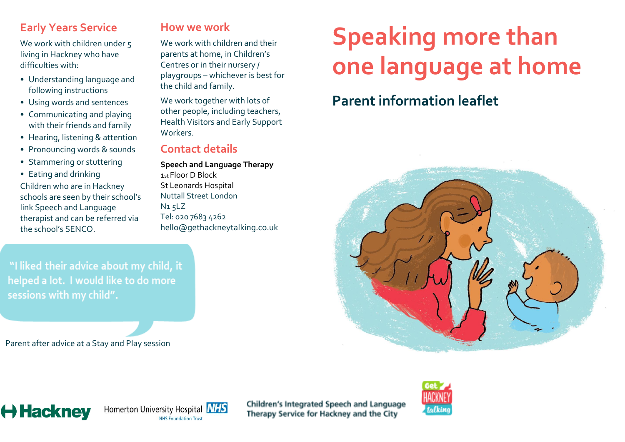## **Early Years Service**

We work with children under 5 living in Hackney who have difficulties with:

- Understanding language and following instructions
- Using words and sentences
- Communicating and playing with their friends and family
- Hearing, listening & attention
- Pronouncing words & sounds
- Stammering or stuttering
- Eating and drinking

Children who are in Hackney schools are seen by their school's link Speech and Language therapist and can be referred via the school's SENCO.

# **How we work**

We work with children and their parents at home, in Children's Centres or in their nursery / playgroups – whichever is best for the child and family.

We work together with lots of other people, including teachers, Health Visitors and Early Support Workers.

### **Contact details**

**Speech and Language Therapy**  1st Floor D Block St Leonards Hospital Nuttall Street London N1 5LZ Tel: 020 7683 4262 hello@gethackneytalking.co.uk

# **Speaking more than one language at home**

# **Parent information leaflet**



"I liked their advice about my child, it helped a lot. I would like to do more sessions with my child".

Parent after advice at a Stay and Play session





Children's Integrated Speech and Language Therapy Service for Hackney and the City